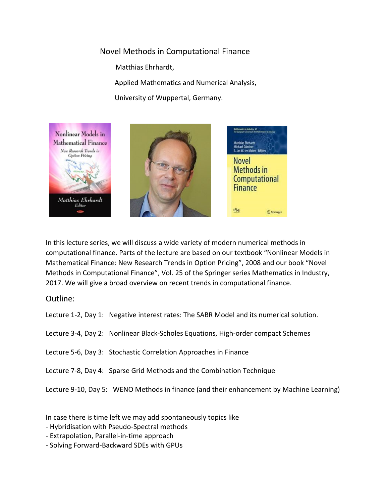## Novel Methods in Computational Finance

Matthias Ehrhardt,

Applied Mathematics and Numerical Analysis,

University of Wuppertal, Germany.



In this lecture series, we will discuss a wide variety of modern numerical methods in computational finance. Parts of the lecture are based on our textbook "Nonlinear Models in Mathematical Finance: New Research Trends in Option Pricing", 2008 and our book "Novel Methods in Computational Finance", Vol. 25 of the Springer series Mathematics in Industry, 2017. We will give a broad overview on recent trends in computational finance.

Outline:

Lecture 1-2, Day 1: Negative interest rates: The SABR Model and its numerical solution.

Lecture 3-4, Day 2: Nonlinear Black-Scholes Equations, High-order compact Schemes

Lecture 5-6, Day 3: Stochastic Correlation Approaches in Finance

Lecture 7-8, Day 4: Sparse Grid Methods and the Combination Technique

Lecture 9-10, Day 5: WENO Methods in finance (and their enhancement by Machine Learning)

In case there is time left we may add spontaneously topics like

- Hybridisation with Pseudo-Spectral methods
- Extrapolation, Parallel-in-time approach
- Solving Forward-Backward SDEs with GPUs